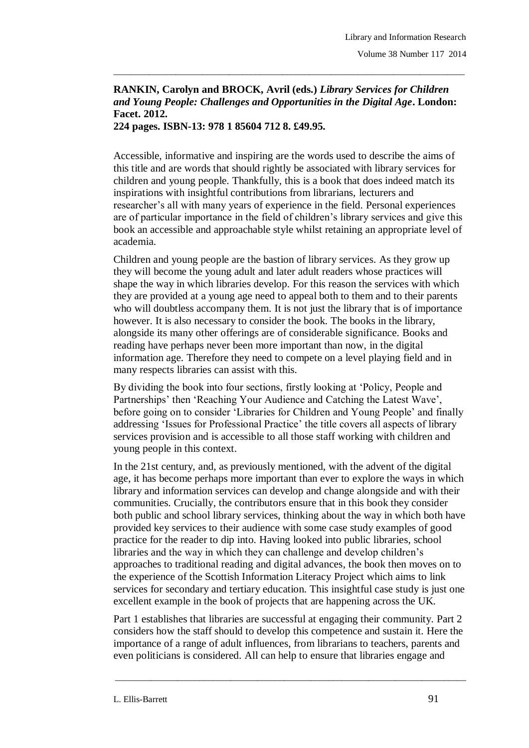## **RANKIN, Carolyn and BROCK, Avril (eds.)** *Library Services for Children and Young People: Challenges and Opportunities in the Digital Age***. London: Facet. 2012.**

\_\_\_\_\_\_\_\_\_\_\_\_\_\_\_\_\_\_\_\_\_\_\_\_\_\_\_\_\_\_\_\_\_\_\_\_\_\_\_\_\_\_\_\_\_\_\_\_\_\_\_\_\_\_\_\_\_\_\_\_\_\_\_\_\_\_\_\_\_\_\_\_\_\_\_\_\_\_\_

**224 pages. ISBN-13: 978 1 85604 712 8. £49.95.**

Accessible, informative and inspiring are the words used to describe the aims of this title and are words that should rightly be associated with library services for children and young people. Thankfully, this is a book that does indeed match its inspirations with insightful contributions from librarians, lecturers and researcher's all with many years of experience in the field. Personal experiences are of particular importance in the field of children's library services and give this book an accessible and approachable style whilst retaining an appropriate level of academia.

Children and young people are the bastion of library services. As they grow up they will become the young adult and later adult readers whose practices will shape the way in which libraries develop. For this reason the services with which they are provided at a young age need to appeal both to them and to their parents who will doubtless accompany them. It is not just the library that is of importance however. It is also necessary to consider the book. The books in the library, alongside its many other offerings are of considerable significance. Books and reading have perhaps never been more important than now, in the digital information age. Therefore they need to compete on a level playing field and in many respects libraries can assist with this.

By dividing the book into four sections, firstly looking at 'Policy, People and Partnerships' then 'Reaching Your Audience and Catching the Latest Wave', before going on to consider 'Libraries for Children and Young People' and finally addressing 'Issues for Professional Practice' the title covers all aspects of library services provision and is accessible to all those staff working with children and young people in this context.

In the 21st century, and, as previously mentioned, with the advent of the digital age, it has become perhaps more important than ever to explore the ways in which library and information services can develop and change alongside and with their communities. Crucially, the contributors ensure that in this book they consider both public and school library services, thinking about the way in which both have provided key services to their audience with some case study examples of good practice for the reader to dip into. Having looked into public libraries, school libraries and the way in which they can challenge and develop children's approaches to traditional reading and digital advances, the book then moves on to the experience of the Scottish Information Literacy Project which aims to link services for secondary and tertiary education. This insightful case study is just one excellent example in the book of projects that are happening across the UK.

Part 1 establishes that libraries are successful at engaging their community. Part 2 considers how the staff should to develop this competence and sustain it. Here the importance of a range of adult influences, from librarians to teachers, parents and even politicians is considered. All can help to ensure that libraries engage and

\_\_\_\_\_\_\_\_\_\_\_\_\_\_\_\_\_\_\_\_\_\_\_\_\_\_\_\_\_\_\_\_\_\_\_\_\_\_\_\_\_\_\_\_\_\_\_\_\_\_\_\_\_\_\_\_\_\_\_\_\_\_\_\_\_\_\_\_\_\_\_\_\_\_\_\_\_\_\_